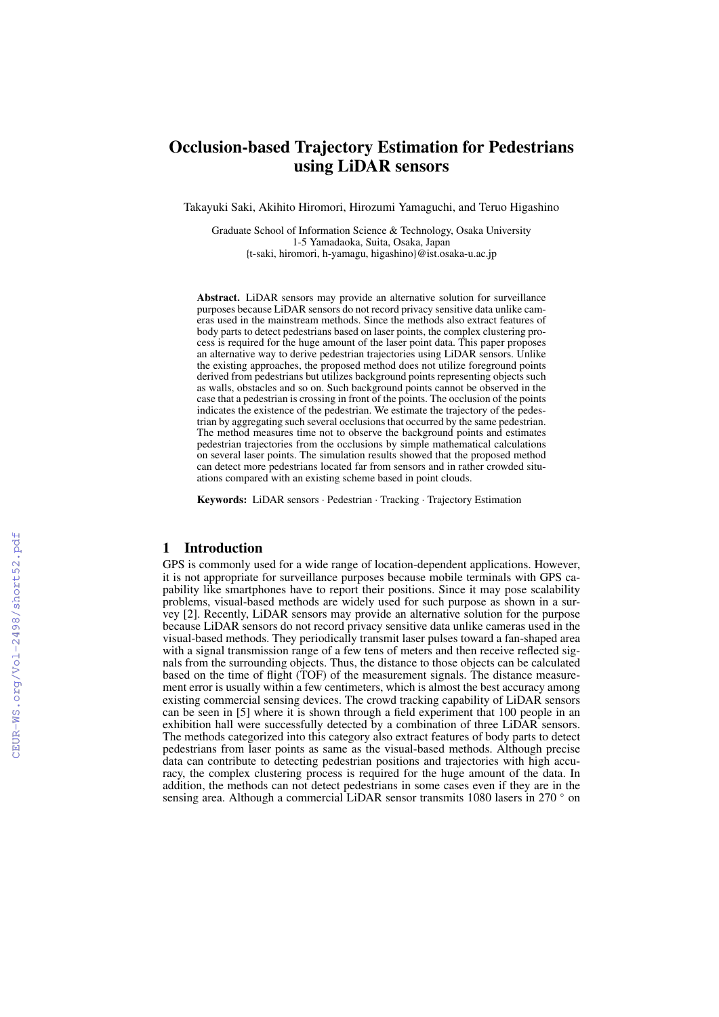# Occlusion-based Trajectory Estimation for Pedestrians using LiDAR sensors

Takayuki Saki, Akihito Hiromori, Hirozumi Yamaguchi, and Teruo Higashino

Graduate School of Information Science & Technology, Osaka University 1-5 Yamadaoka, Suita, Osaka, Japan {t-saki, hiromori, h-yamagu, higashino}@ist.osaka-u.ac.jp

Abstract. LiDAR sensors may provide an alternative solution for surveillance purposes because LiDAR sensors do not record privacy sensitive data unlike cameras used in the mainstream methods. Since the methods also extract features of body parts to detect pedestrians based on laser points, the complex clustering process is required for the huge amount of the laser point data. This paper proposes an alternative way to derive pedestrian trajectories using LiDAR sensors. Unlike the existing approaches, the proposed method does not utilize foreground points derived from pedestrians but utilizes background points representing objects such as walls, obstacles and so on. Such background points cannot be observed in the case that a pedestrian is crossing in front of the points. The occlusion of the points indicates the existence of the pedestrian. We estimate the trajectory of the pedestrian by aggregating such several occlusions that occurred by the same pedestrian. The method measures time not to observe the background points and estimates pedestrian trajectories from the occlusions by simple mathematical calculations on several laser points. The simulation results showed that the proposed method can detect more pedestrians located far from sensors and in rather crowded situations compared with an existing scheme based in point clouds.

Keywords: LiDAR sensors · Pedestrian · Tracking · Trajectory Estimation

## 1 Introduction

GPS is commonly used for a wide range of location-dependent applications. However, it is not appropriate for surveillance purposes because mobile terminals with GPS capability like smartphones have to report their positions. Since it may pose scalability problems, visual-based methods are widely used for such purpose as shown in a survey [2]. Recently, LiDAR sensors may provide an alternative solution for the purpose because LiDAR sensors do not record privacy sensitive data unlike cameras used in the visual-based methods. They periodically transmit laser pulses toward a fan-shaped area with a signal transmission range of a few tens of meters and then receive reflected signals from the surrounding objects. Thus, the distance to those objects can be calculated based on the time of flight (TOF) of the measurement signals. The distance measurement error is usually within a few centimeters, which is almost the best accuracy among existing commercial sensing devices. The crowd tracking capability of LiDAR sensors can be seen in [5] where it is shown through a field experiment that 100 people in an exhibition hall were successfully detected by a combination of three LiDAR sensors. The methods categorized into this category also extract features of body parts to detect pedestrians from laser points as same as the visual-based methods. Although precise data can contribute to detecting pedestrian positions and trajectories with high accuracy, the complex clustering process is required for the huge amount of the data. In addition, the methods can not detect pedestrians in some cases even if they are in the sensing area. Although a commercial LiDAR sensor transmits 1080 lasers in 270 ° on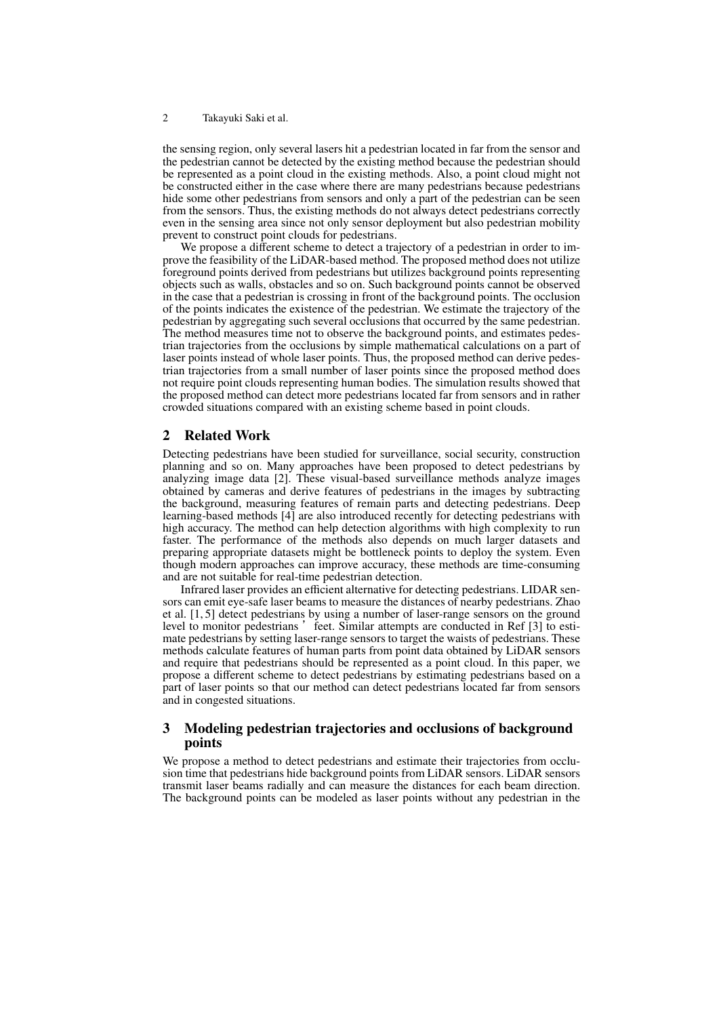the sensing region, only several lasers hit a pedestrian located in far from the sensor and the pedestrian cannot be detected by the existing method because the pedestrian should be represented as a point cloud in the existing methods. Also, a point cloud might not be constructed either in the case where there are many pedestrians because pedestrians hide some other pedestrians from sensors and only a part of the pedestrian can be seen from the sensors. Thus, the existing methods do not always detect pedestrians correctly even in the sensing area since not only sensor deployment but also pedestrian mobility prevent to construct point clouds for pedestrians.

We propose a different scheme to detect a trajectory of a pedestrian in order to improve the feasibility of the LiDAR-based method. The proposed method does not utilize foreground points derived from pedestrians but utilizes background points representing objects such as walls, obstacles and so on. Such background points cannot be observed in the case that a pedestrian is crossing in front of the background points. The occlusion of the points indicates the existence of the pedestrian. We estimate the trajectory of the pedestrian by aggregating such several occlusions that occurred by the same pedestrian. The method measures time not to observe the background points, and estimates pedestrian trajectories from the occlusions by simple mathematical calculations on a part of laser points instead of whole laser points. Thus, the proposed method can derive pedestrian trajectories from a small number of laser points since the proposed method does not require point clouds representing human bodies. The simulation results showed that the proposed method can detect more pedestrians located far from sensors and in rather crowded situations compared with an existing scheme based in point clouds.

### 2 Related Work

Detecting pedestrians have been studied for surveillance, social security, construction planning and so on. Many approaches have been proposed to detect pedestrians by analyzing image data [2]. These visual-based surveillance methods analyze images obtained by cameras and derive features of pedestrians in the images by subtracting the background, measuring features of remain parts and detecting pedestrians. Deep learning-based methods [4] are also introduced recently for detecting pedestrians with high accuracy. The method can help detection algorithms with high complexity to run faster. The performance of the methods also depends on much larger datasets and preparing appropriate datasets might be bottleneck points to deploy the system. Even though modern approaches can improve accuracy, these methods are time-consuming and are not suitable for real-time pedestrian detection.

Infrared laser provides an efficient alternative for detecting pedestrians. LIDAR sensors can emit eye-safe laser beams to measure the distances of nearby pedestrians. Zhao et al. [1, 5] detect pedestrians by using a number of laser-range sensors on the ground level to monitor pedestrians 'feet. Similar attempts are conducted in Ref [3] to estimate pedestrians by setting laser-range sensors to target the waists of pedestrians. These methods calculate features of human parts from point data obtained by LiDAR sensors and require that pedestrians should be represented as a point cloud. In this paper, we propose a different scheme to detect pedestrians by estimating pedestrians based on a part of laser points so that our method can detect pedestrians located far from sensors and in congested situations.

# 3 Modeling pedestrian trajectories and occlusions of background points

We propose a method to detect pedestrians and estimate their trajectories from occlusion time that pedestrians hide background points from LiDAR sensors. LiDAR sensors transmit laser beams radially and can measure the distances for each beam direction. The background points can be modeled as laser points without any pedestrian in the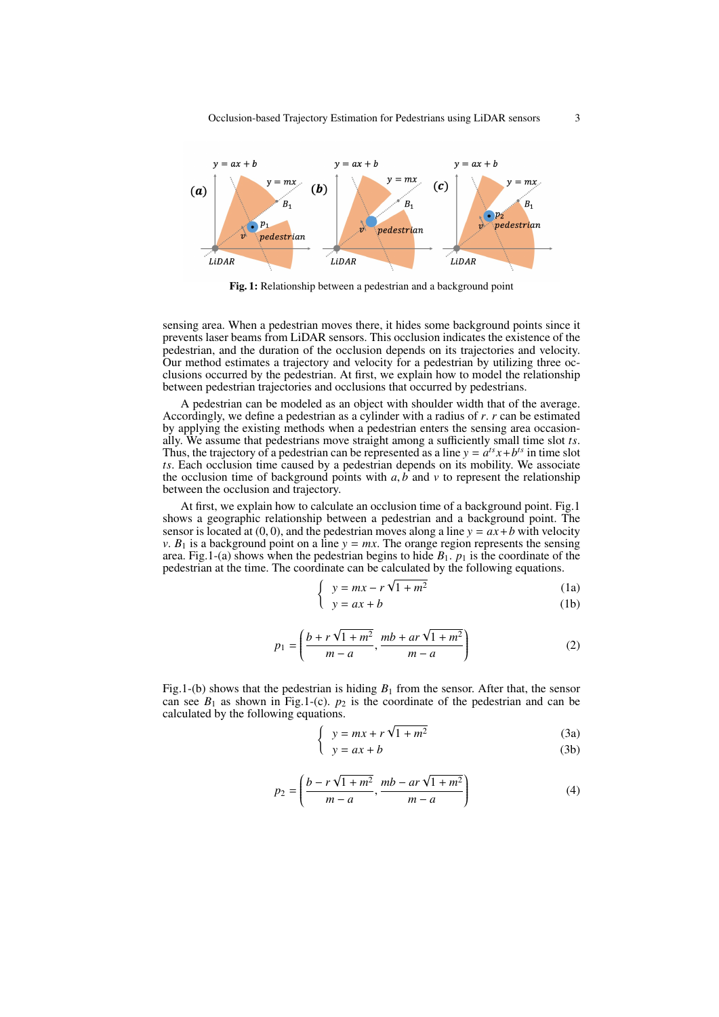

Fig. 1: Relationship between a pedestrian and a background point

sensing area. When a pedestrian moves there, it hides some background points since it prevents laser beams from LiDAR sensors. This occlusion indicates the existence of the pedestrian, and the duration of the occlusion depends on its trajectories and velocity. Our method estimates a trajectory and velocity for a pedestrian by utilizing three occlusions occurred by the pedestrian. At first, we explain how to model the relationship between pedestrian trajectories and occlusions that occurred by pedestrians.

A pedestrian can be modeled as an object with shoulder width that of the average. Accordingly, we define a pedestrian as a cylinder with a radius of *r*. *r* can be estimated by applying the existing methods when a pedestrian enters the sensing area occasionally. We assume that pedestrians move straight among a sufficiently small time slot *ts*. Thus, the trajectory of a pedestrian can be represented as a line  $y = a^{ts}x + b^{ts}$  in time slot *ts*. Each occlusion time caused by a pedestrian depends on its mobility. We associate the occlusion time of background points with  $a, b$  and  $v$  to represent the relationship between the occlusion and trajectory.

At first, we explain how to calculate an occlusion time of a background point. Fig.1 shows a geographic relationship between a pedestrian and a background point. The sensor is located at  $(0, 0)$ , and the pedestrian moves along a line  $y = ax + b$  with velocity *v*.  $B_1$  is a background point on a line  $y = mx$ . The orange region represents the sensing area. Fig.1-(a) shows when the pedestrian begins to hide  $B_1$ .  $p_1$  is the coordinate of the pedestrian at the time. The coordinate can be calculated by the following equations.

$$
\begin{cases} y = mx - r\sqrt{1 + m^2} \end{cases} (1a)
$$

$$
y = ax + b \tag{1b}
$$

$$
p_1 = \left(\frac{b + r\sqrt{1 + m^2}}{m - a}, \frac{mb + ar\sqrt{1 + m^2}}{m - a}\right)
$$
 (2)

Fig.1-(b) shows that the pedestrian is hiding  $B_1$  from the sensor. After that, the sensor can see  $B_1$  as shown in Fig.1-(c).  $p_2$  is the coordinate of the pedestrian and can be calculated by the following equations. √

$$
\begin{cases}\ny = mx + r\sqrt{1 + m^2} \\
y = ax + b\n\end{cases}
$$
\n(3a)

$$
y = ax + b \tag{3b}
$$

$$
p_2 = \left(\frac{b - r\sqrt{1 + m^2}}{m - a}, \frac{mb - ar\sqrt{1 + m^2}}{m - a}\right)
$$
 (4)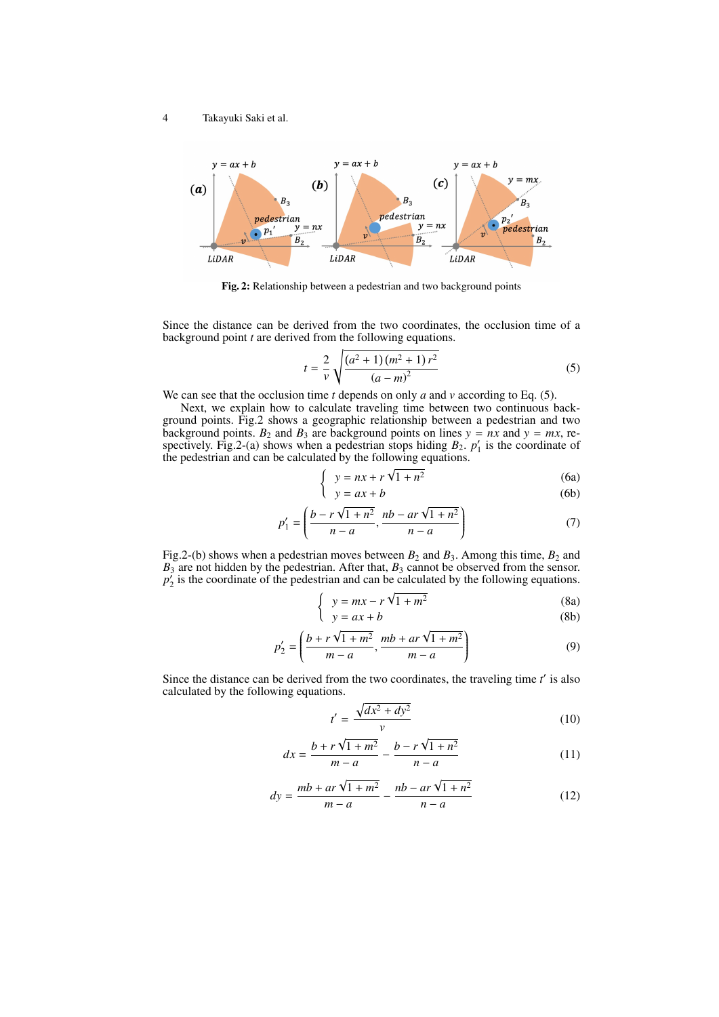

Fig. 2: Relationship between a pedestrian and two background points

Since the distance can be derived from the two coordinates, the occlusion time of a background point *t* are derived from the following equations.

$$
t = \frac{2}{v} \sqrt{\frac{(a^2 + 1)(m^2 + 1)r^2}{(a - m)^2}}
$$
 (5)

We can see that the occlusion time *t* depends on only *a* and *v* according to Eq. (5).

Next, we explain how to calculate traveling time between two continuous background points. Fig.2 shows a geographic relationship between a pedestrian and two background points.  $B_2$  and  $B_3$  are background points on lines  $y = nx$  and  $y = mx$ , respectively. Fig.2-(a) shows when a pedestrian stops hiding  $B_2$ ,  $p'_1$  is the coordinate of the pedestrian and can be calculated by the following equations. √

$$
\int y = nx + r\sqrt{1 + n^2} \tag{6a}
$$

$$
y = ax + b \tag{6b}
$$

$$
p_1' = \left(\frac{b - r\sqrt{1 + n^2}}{n - a}, \frac{nb - ar\sqrt{1 + n^2}}{n - a}\right)
$$
(7)

Fig.2-(b) shows when a pedestrian moves between  $B_2$  and  $B_3$ . Among this time,  $B_2$  and *B*<sup>3</sup> are not hidden by the pedestrian. After that, *B*<sup>3</sup> cannot be observed from the sensor.  $p_2^{\prime}$  is the coordinate of the pedestrian and can be calculated by the following equations.

$$
\begin{cases} y = mx - r\sqrt{1 + m^2} \end{cases}
$$
 (8a)

$$
\begin{pmatrix} y = ax + b \end{pmatrix}
$$
 (8b)

$$
p'_{2} = \left(\frac{b + r\sqrt{1 + m^{2}}}{m - a}, \frac{mb + ar\sqrt{1 + m^{2}}}{m - a}\right)
$$
(9)

Since the distance can be derived from the two coordinates, the traveling time *t'* is also calculated by the following equations.

$$
t' = \frac{\sqrt{dx^2 + dy^2}}{v} \tag{10}
$$

$$
dx = \frac{b + r\sqrt{1 + m^2}}{m - a} - \frac{b - r\sqrt{1 + n^2}}{n - a}
$$
(11)

$$
dy = \frac{mb + ar\sqrt{1 + m^2}}{m - a} - \frac{nb - ar\sqrt{1 + n^2}}{n - a}
$$
(12)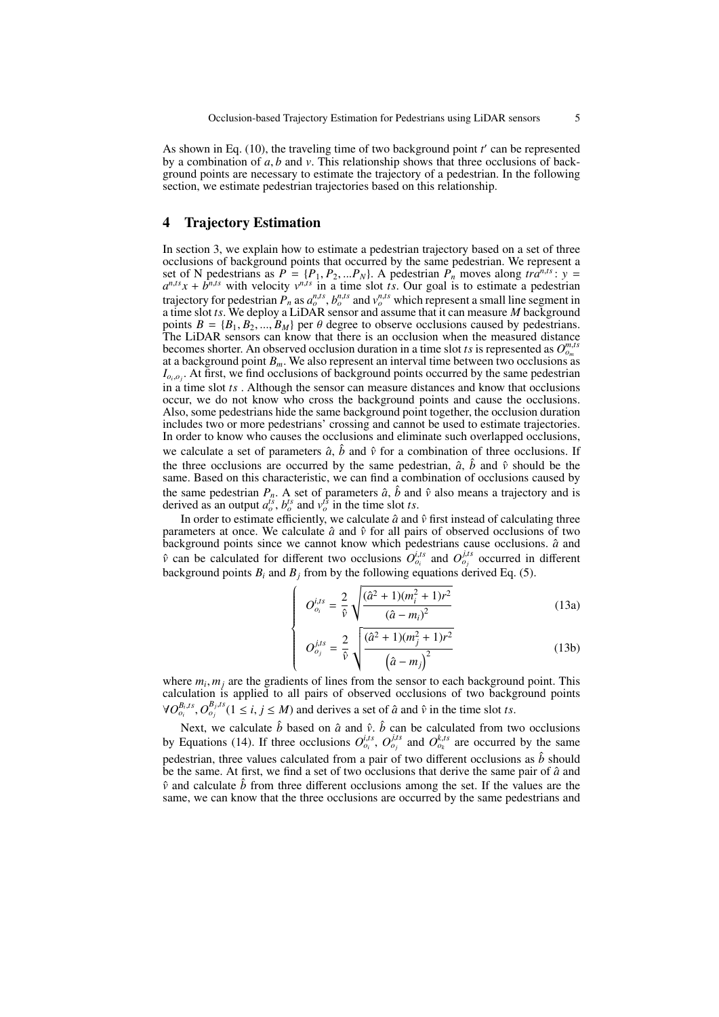As shown in Eq. (10), the traveling time of two background point *t* ′ can be represented by a combination of *a*, *b* and *v*. This relationship shows that three occlusions of background points are necessary to estimate the trajectory of a pedestrian. In the following section, we estimate pedestrian trajectories based on this relationship.

# 4 Trajectory Estimation

In section 3, we explain how to estimate a pedestrian trajectory based on a set of three occlusions of background points that occurred by the same pedestrian. We represent a set of N pedestrians as  $P = \{P_1, P_2, ... P_N\}$ . A pedestrian  $P_n$  moves along  $tra^{n, ts}$ :  $y =$  $a^{n, ts}x + b^{n, ts}$  with velocity  $v^{n, ts}$  in a time slot *ts*. Our goal is to estimate a pedestrian trajectory for pedestrian  $P_n$  as  $a_o^{n,ts}$ ,  $b_o^{n,ts}$  and  $v_o^{n,ts}$  which represent a small line segment in a time slot *ts*. We deploy a LiDAR sensor and assume that it can measure *M* background points  $B = \{B_1, B_2, ..., B_M\}$  per  $\theta$  degree to observe occlusions caused by pedestrians. The LiDAR sensors can know that there is an occlusion when the measured distance becomes shorter. An observed occlusion duration in a time slot *ts* is represented as  $O_{o_m}^{m,ts}$ at a background point  $B_m$ . We also represent an interval time between two occlusions as  $I_{o_i, o_j}$ . At first, we find occlusions of background points occurred by the same pedestrian in a time slot *ts* . Although the sensor can measure distances and know that occlusions occur, we do not know who cross the background points and cause the occlusions. Also, some pedestrians hide the same background point together, the occlusion duration includes two or more pedestrians' crossing and cannot be used to estimate trajectories. In order to know who causes the occlusions and eliminate such overlapped occlusions, we calculate a set of parameters  $\hat{a}$ ,  $\hat{b}$  and  $\hat{v}$  for a combination of three occlusions. If the three occlusions are occurred by the same pedestrian,  $\hat{a}$ ,  $\hat{b}$  and  $\hat{v}$  should be the same. Based on this characteristic, we can find a combination of occlusions caused by the same pedestrian  $P_n$ . A set of parameters  $\hat{a}$ ,  $\hat{b}$  and  $\hat{v}$  also means a trajectory and is derived as an output  $a_o^{is}$ ,  $b_o^{ts}$  and  $v_o^{ts}$  in the time slot *ts*.

In order to estimate efficiently, we calculate  $\hat{a}$  and  $\hat{v}$  first instead of calculating three parameters at once. We calculate  $\hat{a}$  and  $\hat{v}$  for all pairs of observed occlusions of two background points since we cannot know which pedestrians cause occlusions.  $\hat{a}$  and  $\hat{v}$  can be calculated for different two occlusions  $O_{o_i}^{i,ts}$  and  $O_{o_j}^{i,ts}$  occurred in different background points  $B_i$  and  $B_j$  from by the following equations derived Eq. (5).

> $\sqrt{ }$  $\left\{\right.$

> $\begin{array}{c} \hline \end{array}$

$$
O_{o_i}^{i,ts} = \frac{2}{\hat{v}} \sqrt{\frac{(\hat{a}^2 + 1)(m_i^2 + 1)r^2}{(\hat{a} - m_i)^2}}
$$
(13a)

$$
O_{o_j}^{j,ts} = \frac{2}{\hat{v}} \sqrt{\frac{(\hat{a}^2 + 1)(m_j^2 + 1)r^2}{(\hat{a} - m_j)^2}}
$$
(13b)

where  $m_i, m_j$  are the gradients of lines from the sensor to each background point. This calculation is applied to all pairs of observed occlusions of two background points  $\forall O_{o_i}^{B_i, ts}, O_{o_j}^{B_j, ts}$  ( $1 \le i, j \le M$ ) and derives a set of  $\hat{a}$  and  $\hat{v}$  in the time slot *ts*.

Next, we calculate  $\hat{b}$  based on  $\hat{a}$  and  $\hat{v}$ .  $\hat{b}$  can be calculated from two occlusions by Equations (14). If three occlusions  $O_{o_i}^{i,ts}$ ,  $O_{o_j}^{j,ts}$  and  $O_{o_k}^{k,ts}$  are occurred by the same pedestrian, three values calculated from a pair of two different occlusions as  $\hat{b}$  should be the same. At first, we find a set of two occlusions that derive the same pair of  $\hat{a}$  and  $\hat{v}$  and calculate  $\hat{b}$  from three different occlusions among the set. If the values are the same, we can know that the three occlusions are occurred by the same pedestrians and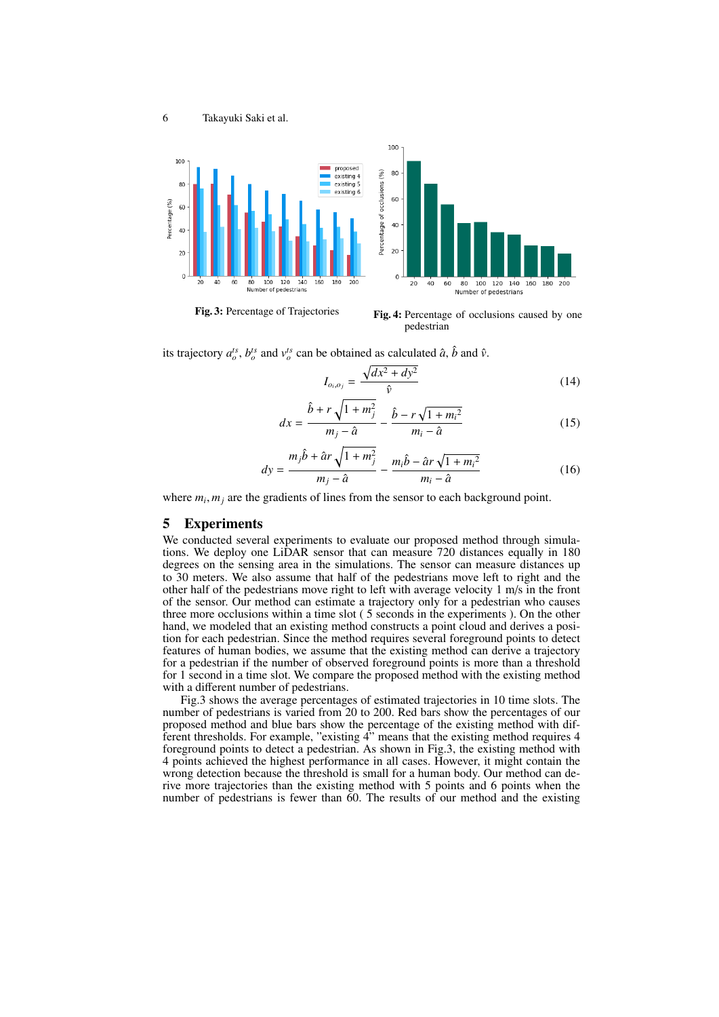

*dy* =

Fig. 3: Percentage of Trajectories Fig. 4: Percentage of occlusions caused by one pedestrian

its trajectory  $a_o^{ts}$ ,  $b_o^{ts}$  and  $v_o^{ts}$  can be obtained as calculated  $\hat{a}$ ,  $\hat{b}$  and  $\hat{v}$ .

$$
I_{o_i,o_j} = \frac{\sqrt{dx^2 + dy^2}}{\hat{v}}
$$
 (14)

$$
dx = \frac{\hat{b} + r\sqrt{1 + m_j^2}}{m_j - \hat{a}} - \frac{\hat{b} - r\sqrt{1 + m_i^2}}{m_i - \hat{a}} \tag{15}
$$

$$
dy = \frac{m_j \hat{b} + \hat{a}r \sqrt{1 + m_j^2}}{m_j - \hat{a}} - \frac{m_i \hat{b} - \hat{a}r \sqrt{1 + m_i^2}}{m_i - \hat{a}}
$$
(16)

where  $m_i$ ,  $m_j$  are the gradients of lines from the sensor to each background point.

## 5 Experiments

We conducted several experiments to evaluate our proposed method through simulations. We deploy one LiDAR sensor that can measure 720 distances equally in 180 degrees on the sensing area in the simulations. The sensor can measure distances up to 30 meters. We also assume that half of the pedestrians move left to right and the other half of the pedestrians move right to left with average velocity 1 m/s in the front of the sensor. Our method can estimate a trajectory only for a pedestrian who causes three more occlusions within a time slot ( 5 seconds in the experiments ). On the other hand, we modeled that an existing method constructs a point cloud and derives a position for each pedestrian. Since the method requires several foreground points to detect features of human bodies, we assume that the existing method can derive a trajectory for a pedestrian if the number of observed foreground points is more than a threshold for 1 second in a time slot. We compare the proposed method with the existing method with a different number of pedestrians.

Fig.3 shows the average percentages of estimated trajectories in 10 time slots. The number of pedestrians is varied from 20 to 200. Red bars show the percentages of our proposed method and blue bars show the percentage of the existing method with different thresholds. For example, "existing  $\ddot{4}$ " means that the existing method requires 4 foreground points to detect a pedestrian. As shown in Fig.3, the existing method with 4 points achieved the highest performance in all cases. However, it might contain the wrong detection because the threshold is small for a human body. Our method can derive more trajectories than the existing method with 5 points and 6 points when the number of pedestrians is fewer than 60. The results of our method and the existing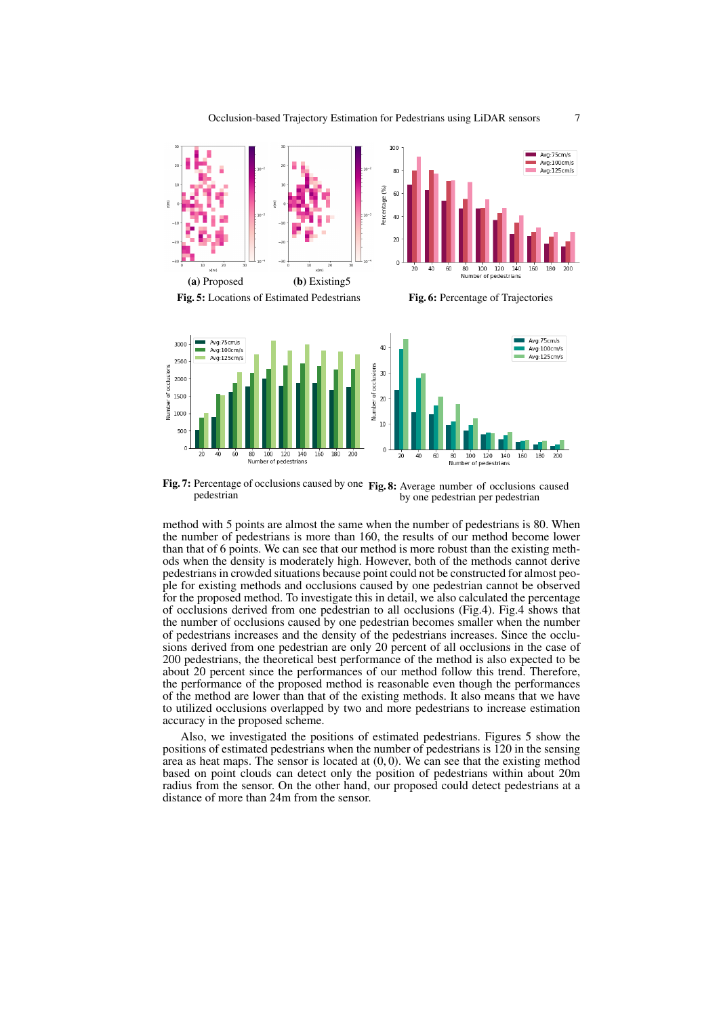

Fig. 7: Percentage of occlusions caused by one Fig. 8: Average number of occlusions caused pedestrian by one pedestrian per pedestrian

method with 5 points are almost the same when the number of pedestrians is 80. When the number of pedestrians is more than 160, the results of our method become lower than that of 6 points. We can see that our method is more robust than the existing methods when the density is moderately high. However, both of the methods cannot derive pedestrians in crowded situations because point could not be constructed for almost people for existing methods and occlusions caused by one pedestrian cannot be observed for the proposed method. To investigate this in detail, we also calculated the percentage of occlusions derived from one pedestrian to all occlusions (Fig.4). Fig.4 shows that the number of occlusions caused by one pedestrian becomes smaller when the number of pedestrians increases and the density of the pedestrians increases. Since the occlusions derived from one pedestrian are only 20 percent of all occlusions in the case of 200 pedestrians, the theoretical best performance of the method is also expected to be about 20 percent since the performances of our method follow this trend. Therefore, the performance of the proposed method is reasonable even though the performances of the method are lower than that of the existing methods. It also means that we have to utilized occlusions overlapped by two and more pedestrians to increase estimation accuracy in the proposed scheme.

Also, we investigated the positions of estimated pedestrians. Figures 5 show the positions of estimated pedestrians when the number of pedestrians is 120 in the sensing area as heat maps. The sensor is located at  $(0, 0)$ . We can see that the existing method based on point clouds can detect only the position of pedestrians within about 20m radius from the sensor. On the other hand, our proposed could detect pedestrians at a distance of more than 24m from the sensor.